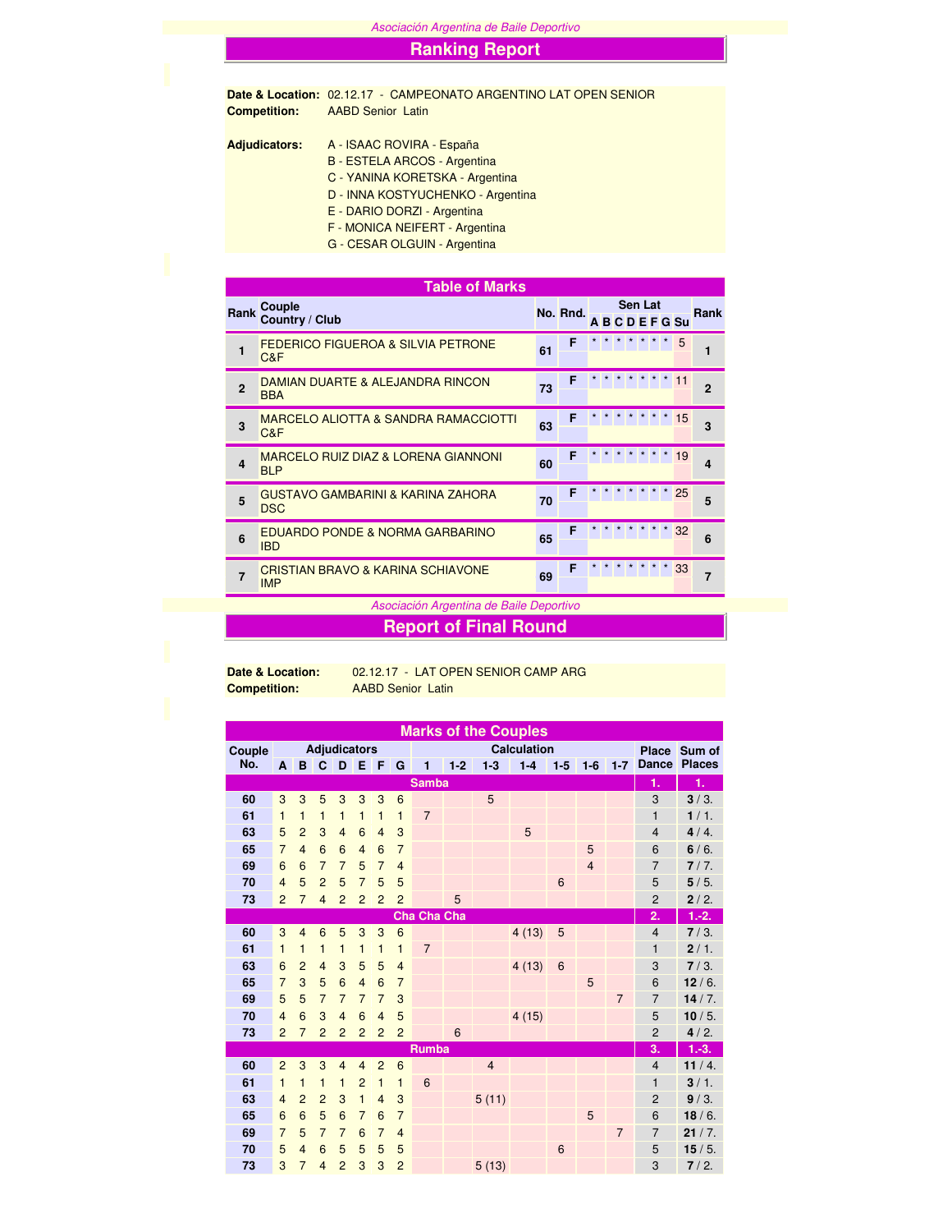Asociación Argentina de Baile Deportivo

## **Ranking Report**

**Date & Location:** 02.12.17 - CAMPEONATO ARGENTINO LAT OPEN SENIOR **Competition:** AABD Senior Latin

**Adjudicators:** A - ISAAC ROVIRA - España B - ESTELA ARCOS - Argentina C - YANINA KORETSKA - Argentina D - INNA KOSTYUCHENKO - Argentina E - DARIO DORZI - Argentina

F - MONICA NEIFERT - Argentina

G - CESAR OLGUIN - Argentina

|                | <b>Table of Marks</b>                                        |    |          |  |  |                |                  |                |
|----------------|--------------------------------------------------------------|----|----------|--|--|----------------|------------------|----------------|
| Rank           | Couple<br>Country / Club                                     |    | No. Rnd. |  |  | <b>Sen Lat</b> | <b>ABCDEFGSu</b> | <b>Rank</b>    |
| 1              | <b>FEDERICO FIGUEROA &amp; SILVIA PETRONE</b><br>C&F         | 61 | F        |  |  |                | 5                | 1              |
| $\overline{2}$ | DAMIAN DUARTE & ALEJANDRA RINCON<br><b>BBA</b>               | 73 | F        |  |  |                | 11               | $\overline{2}$ |
| 3              | <b>MARCELO ALIOTTA &amp; SANDRA RAMACCIOTTI</b><br>C&F       | 63 | F        |  |  |                | 15               | 3              |
| $\overline{a}$ | <b>MARCELO RUIZ DIAZ &amp; LORENA GIANNONI</b><br><b>BLP</b> | 60 | F        |  |  |                | 19               | 4              |
| 5              | <b>GUSTAVO GAMBARINI &amp; KARINA ZAHORA</b><br><b>DSC</b>   | 70 | F        |  |  |                | 25               | 5              |
| 6              | EDUARDO PONDE & NORMA GARBARINO<br><b>IBD</b>                | 65 | F        |  |  |                | 32               | 6              |
| 7              | <b>CRISTIAN BRAVO &amp; KARINA SCHIAVONE</b><br><b>IMP</b>   | 69 | F        |  |  |                | 33               | $\overline{7}$ |

Asociación Argentina de Baile Deportivo

**Report of Final Round**

**Date & Location:** 02.12.17 - LAT OPEN SENIOR CAMP ARG **Competition:** AABD Senior Latin

|        | <b>Marks of the Couples</b> |                |                |                     |                |                |                 |                 |         |                |         |       |                |                |                |               |
|--------|-----------------------------|----------------|----------------|---------------------|----------------|----------------|-----------------|-----------------|---------|----------------|---------|-------|----------------|----------------|----------------|---------------|
| Couple |                             |                |                | <b>Adjudicators</b> |                |                |                 |                 |         | <b>Place</b>   | Sum of  |       |                |                |                |               |
| No.    | A                           | B              | C              | D                   | E              | I F            | G               | 1               | $1 - 2$ | $1-3$          | $1-4$   | $1-5$ | $1-6$          | $1 - 7$        | Dance          | <b>Places</b> |
|        |                             |                |                |                     |                |                |                 | <b>Samba</b>    |         |                |         |       |                |                | 1.             | 1.            |
| 60     | 3                           | 3              | 5              | 3                   | 3              | 3              | $6\phantom{1}6$ |                 |         | 5              |         |       |                |                | 3              | $3/3$ .       |
| 61     | 1                           | $\mathbf{1}$   | $\mathbf{1}$   | $\mathbf{1}$        | $\mathbf{1}$   | $\mathbf{1}$   | $\mathbf{1}$    | $\overline{7}$  |         |                |         |       |                |                | $\mathbf{1}$   | 1/1.          |
| 63     | 5                           | $\overline{2}$ | 3              | $\overline{4}$      | $6\phantom{1}$ | $\overline{4}$ | 3               |                 |         |                | 5       |       |                |                | $\overline{4}$ | 4/4.          |
| 65     | $\overline{7}$              | $\overline{4}$ | 6              | 6                   | $\overline{4}$ | 6              | $\overline{7}$  |                 |         |                |         |       | 5              |                | 6              | 6/6.          |
| 69     | 6                           | 6              | $\overline{7}$ | $\overline{7}$      | 5              | $\overline{7}$ | $\overline{4}$  |                 |         |                |         |       | $\overline{4}$ |                | $\overline{7}$ | 7/7.          |
| 70     | $\overline{4}$              | 5              | $\overline{2}$ | 5                   | $\overline{7}$ | 5              | 5               |                 |         |                |         | 6     |                |                | 5              | 5/5.          |
| 73     | $\overline{2}$              | $\overline{7}$ | $\overline{4}$ | $\overline{2}$      | $\overline{2}$ | $\overline{2}$ | $\overline{2}$  |                 | 5       |                |         |       |                |                | $\overline{2}$ | 2/2.          |
|        |                             |                |                |                     |                |                |                 | Cha Cha Cha     |         |                |         |       |                |                | 2.             | $1.-2.$       |
| 60     | 3                           | $\overline{4}$ | 6              | 5                   | 3              | 3              | $6\phantom{1}6$ |                 |         |                | 4(13)   | 5     |                |                | $\overline{4}$ | $7/3$ .       |
| 61     | 1                           | 1              | 1              | 1                   | $\mathbf{1}$   | $\mathbf{1}$   | 1               | $\overline{7}$  |         |                |         |       |                |                | 1              | 2/1.          |
| 63     | 6                           | $\overline{2}$ | $\overline{4}$ | 3                   | 5              | 5              | $\overline{4}$  |                 |         |                | 4(13)   | 6     |                |                | 3              | 7/3.          |
| 65     | $\overline{7}$              | 3              | 5              | 6                   | $\overline{4}$ | 6              | $\overline{7}$  |                 |         |                |         |       | 5              |                | 6              | 12/6.         |
| 69     | 5                           | 5              | $\overline{7}$ | $\overline{7}$      | $\overline{7}$ | $\overline{7}$ | 3               |                 |         |                |         |       |                | $\overline{7}$ | $\overline{7}$ | 14/7.         |
| 70     | $\overline{4}$              | 6              | 3              | $\overline{4}$      | 6              | $\overline{4}$ | 5               |                 |         |                | 4(15)   |       |                |                | 5              | 10/5.         |
| 73     | $\overline{2}$              | $\overline{7}$ | $\overline{2}$ | $\overline{2}$      | $\overline{2}$ | $\overline{2}$ | $\overline{2}$  |                 | 6       |                |         |       |                |                | $\overline{2}$ | 4/2.          |
|        |                             |                |                |                     |                |                |                 | <b>Rumba</b>    |         | 3.             | $1.-3.$ |       |                |                |                |               |
| 60     | $\overline{2}$              | 3              | 3              | $\overline{4}$      | $\overline{4}$ | $\overline{2}$ | 6               |                 |         | $\overline{4}$ |         |       |                |                | $\overline{4}$ | 11/4.         |
| 61     | 1                           | 1              | $\mathbf{1}$   | $\mathbf{1}$        | $\overline{2}$ | $\mathbf{1}$   | 1               | $6\phantom{1}6$ |         |                |         |       |                |                | 1              | $3/1$ .       |
| 63     | $\overline{4}$              | $\overline{2}$ | $\overline{2}$ | 3                   | $\mathbf{1}$   | $\overline{4}$ | 3               |                 |         | 5(11)          |         |       |                |                | $\overline{2}$ | 9/3.          |
| 65     | 6                           | 6              | 5              | 6                   | $\overline{7}$ | 6              | $\overline{7}$  |                 |         |                |         |       | 5              |                | 6              | 18/6.         |
| 69     | $\overline{7}$              | 5              | $\overline{7}$ | $\overline{7}$      | 6              | $\overline{7}$ | $\overline{4}$  |                 |         |                |         |       |                | $\overline{7}$ | $\overline{7}$ | 21/7.         |
| 70     | 5                           | $\overline{4}$ | 6              | 5                   | 5              | 5              | 5               |                 |         |                |         | 6     |                |                | 5              | 15/5.         |
| 73     | 3                           | $\overline{7}$ | $\overline{4}$ | $\overline{2}$      | 3              | 3              | $\overline{2}$  |                 |         | 5(13)          |         |       |                |                | 3              | 7/2.          |